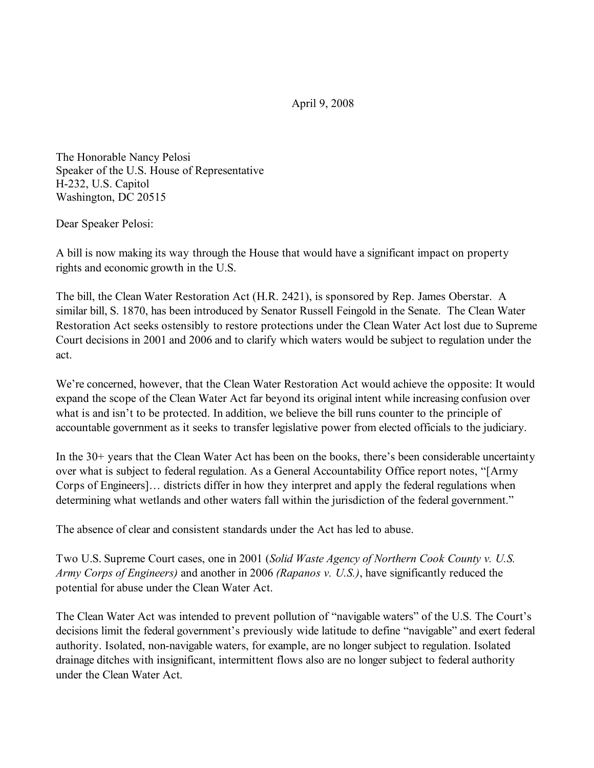April 9, 2008

The Honorable Nancy Pelosi Speaker of the U.S. House of Representative H-232, U.S. Capitol Washington, DC 20515

Dear Speaker Pelosi:

A bill is now making its way through the House that would have a significant impact on property rights and economic growth in the U.S.

The bill, the Clean Water Restoration Act (H.R. 2421), is sponsored by Rep. James Oberstar. A similar bill, S. 1870, has been introduced by Senator Russell Feingold in the Senate. The Clean Water Restoration Act seeks ostensibly to restore protections under the Clean Water Act lost due to Supreme Court decisions in 2001 and 2006 and to clarify which waters would be subject to regulation under the act.

We're concerned, however, that the Clean Water Restoration Act would achieve the opposite: It would expand the scope of the Clean Water Act far beyond its original intent while increasing confusion over what is and isn't to be protected. In addition, we believe the bill runs counter to the principle of accountable government as it seeks to transfer legislative power from elected officials to the judiciary.

In the 30+ years that the Clean Water Act has been on the books, there's been considerable uncertainty over what is subject to federal regulation. As a General Accountability Office report notes, "[Army Corps of Engineers]… districts differ in how they interpret and apply the federal regulations when determining what wetlands and other waters fall within the jurisdiction of the federal government."

The absence of clear and consistent standards under the Act has led to abuse.

Two U.S. Supreme Court cases, one in 2001 (*Solid Waste Agency of Northern Cook County v. U.S. Army Corps of Engineers)* and another in 2006 *(Rapanos v. U.S.)*, have significantly reduced the potential for abuse under the Clean Water Act.

The Clean Water Act was intended to prevent pollution of "navigable waters" of the U.S. The Court's decisions limit the federal government's previously wide latitude to define "navigable" and exert federal authority. Isolated, non-navigable waters, for example, are no longer subject to regulation. Isolated drainage ditches with insignificant, intermittent flows also are no longer subject to federal authority under the Clean Water Act.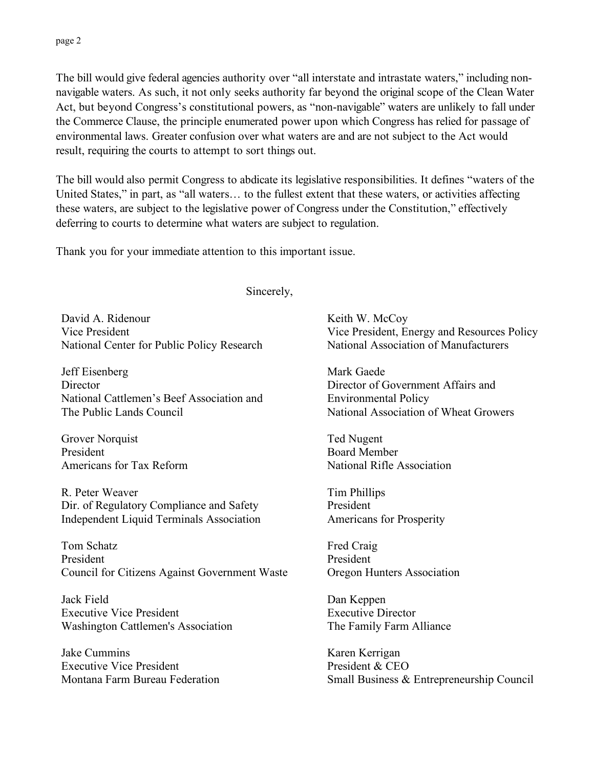The bill would give federal agencies authority over "all interstate and intrastate waters," including nonnavigable waters. As such, it not only seeks authority far beyond the original scope of the Clean Water Act, but beyond Congress's constitutional powers, as "non-navigable" waters are unlikely to fall under the Commerce Clause, the principle enumerated power upon which Congress has relied for passage of environmental laws. Greater confusion over what waters are and are not subject to the Act would result, requiring the courts to attempt to sort things out.

The bill would also permit Congress to abdicate its legislative responsibilities. It defines "waters of the United States," in part, as "all waters… to the fullest extent that these waters, or activities affecting these waters, are subject to the legislative power of Congress under the Constitution," effectively deferring to courts to determine what waters are subject to regulation.

Thank you for your immediate attention to this important issue.

Sincerely,

David A. Ridenour Vice President National Center for Public Policy Research

Jeff Eisenberg **Director** National Cattlemen's Beef Association and The Public Lands Council

Grover Norquist President Americans for Tax Reform

R. Peter Weaver Dir. of Regulatory Compliance and Safety Independent Liquid Terminals Association

Tom Schatz President Council for Citizens Against Government Waste

Jack Field Executive Vice President Washington Cattlemen's Association

Jake Cummins Executive Vice President Montana Farm Bureau Federation Keith W. McCoy Vice President, Energy and Resources Policy National Association of Manufacturers

Mark Gaede Director of Government Affairs and Environmental Policy National Association of Wheat Growers

Ted Nugent Board Member National Rifle Association

Tim Phillips President Americans for Prosperity

Fred Craig President Oregon Hunters Association

Dan Keppen Executive Director The Family Farm Alliance

Karen Kerrigan President & CEO Small Business & Entrepreneurship Council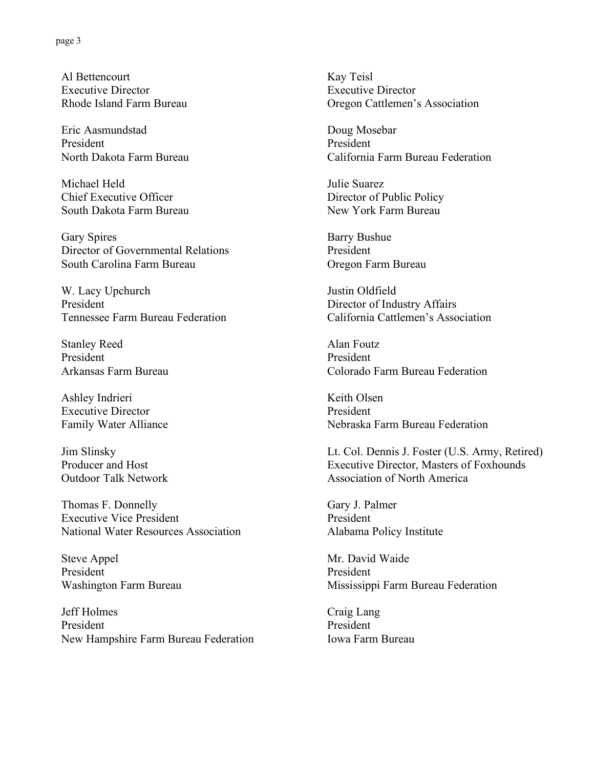Al Bettencourt Executive Director Rhode Island Farm Bureau

Eric Aasmundstad President North Dakota Farm Bureau

Michael Held Chief Executive Officer South Dakota Farm Bureau

Gary Spires Director of Governmental Relations South Carolina Farm Bureau

W. Lacy Upchurch President Tennessee Farm Bureau Federation

Stanley Reed President Arkansas Farm Bureau

Ashley Indrieri Executive Director Family Water Alliance

Jim Slinsky Producer and Host Outdoor Talk Network

Thomas F. Donnelly Executive Vice President National Water Resources Association

Steve Appel President Washington Farm Bureau

Jeff Holmes President New Hampshire Farm Bureau Federation Kay Teisl Executive Director Oregon Cattlemen's Association

Doug Mosebar President California Farm Bureau Federation

Julie Suarez Director of Public Policy New York Farm Bureau

Barry Bushue President Oregon Farm Bureau

Justin Oldfield Director of Industry Affairs California Cattlemen's Association

Alan Foutz President Colorado Farm Bureau Federation

Keith Olsen President Nebraska Farm Bureau Federation

Lt. Col. Dennis J. Foster (U.S. Army, Retired) Executive Director, Masters of Foxhounds Association of North America

Gary J. Palmer President Alabama Policy Institute

Mr. David Waide President Mississippi Farm Bureau Federation

Craig Lang President Iowa Farm Bureau